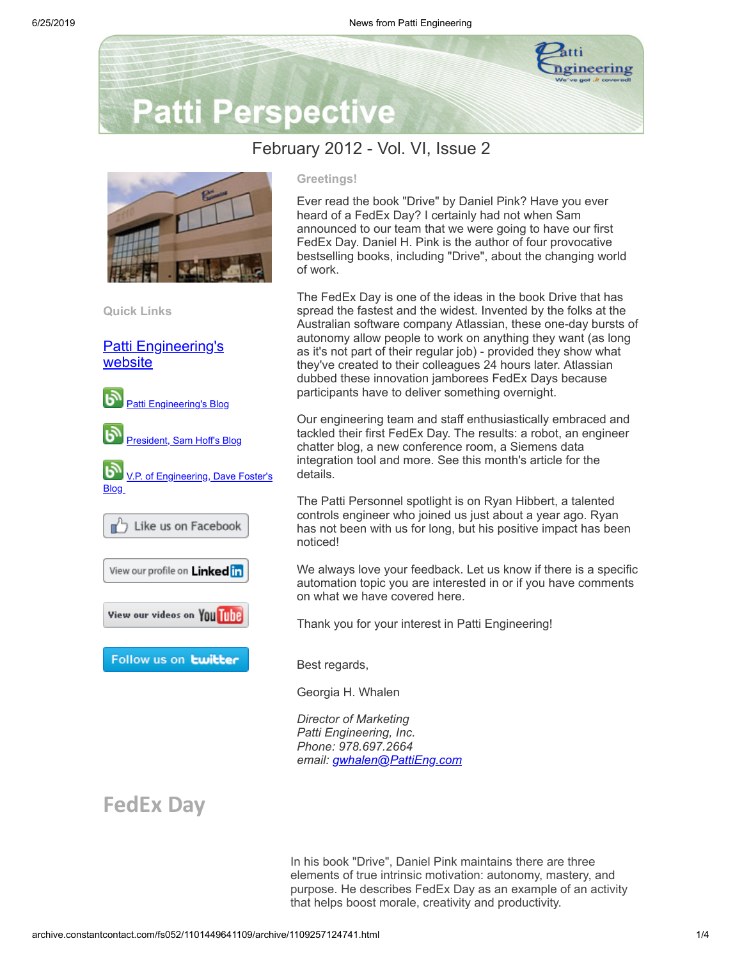

# **Patti Perspective**

### February 2012 - Vol. VI, Issue 2



**Quick Links**

#### [Patti Engineering's](http://www.pattieng.com/?utm_source=Patti+Perspective+2_2012&utm_campaign=Patti+Perspective+Newsletter&utm_medium=archive) website



#### **Greetings!**

Ever read the book "Drive" by Daniel Pink? Have you ever heard of a FedEx Day? I certainly had not when Sam announced to our team that we were going to have our first FedEx Day. Daniel H. Pink is the author of four provocative bestselling books, including "Drive", about the changing world of work.

The FedEx Day is one of the ideas in the book Drive that has spread the fastest and the widest. Invented by the folks at the Australian software company Atlassian, these one-day bursts of autonomy allow people to work on anything they want (as long as it's not part of their regular job) - provided they show what they've created to their colleagues 24 hours later. Atlassian dubbed these innovation jamborees FedEx Days because participants have to deliver something overnight.

Our engineering team and staff enthusiastically embraced and tackled their first FedEx Day. The results: a robot, an engineer chatter blog, a new conference room, a Siemens data integration tool and more. See this month's article for the details.

The Patti Personnel spotlight is on Ryan Hibbert, a talented controls engineer who joined us just about a year ago. Ryan has not been with us for long, but his positive impact has been noticed!

We always love your feedback. Let us know if there is a specific automation topic you are interested in or if you have comments on what we have covered here.

Thank you for your interest in Patti Engineering!

Best regards,

Georgia H. Whalen

*Director of Marketing Patti Engineering, Inc. Phone: 978.697.2664 email: [gwhalen@PattiEng.com](mailto:gwhalen@PattiEng.com)*

## **FedEx Day**

In his book "Drive", Daniel Pink maintains there are three elements of true intrinsic motivation: autonomy, mastery, and purpose. He describes FedEx Day as an example of an activity that helps boost morale, creativity and productivity.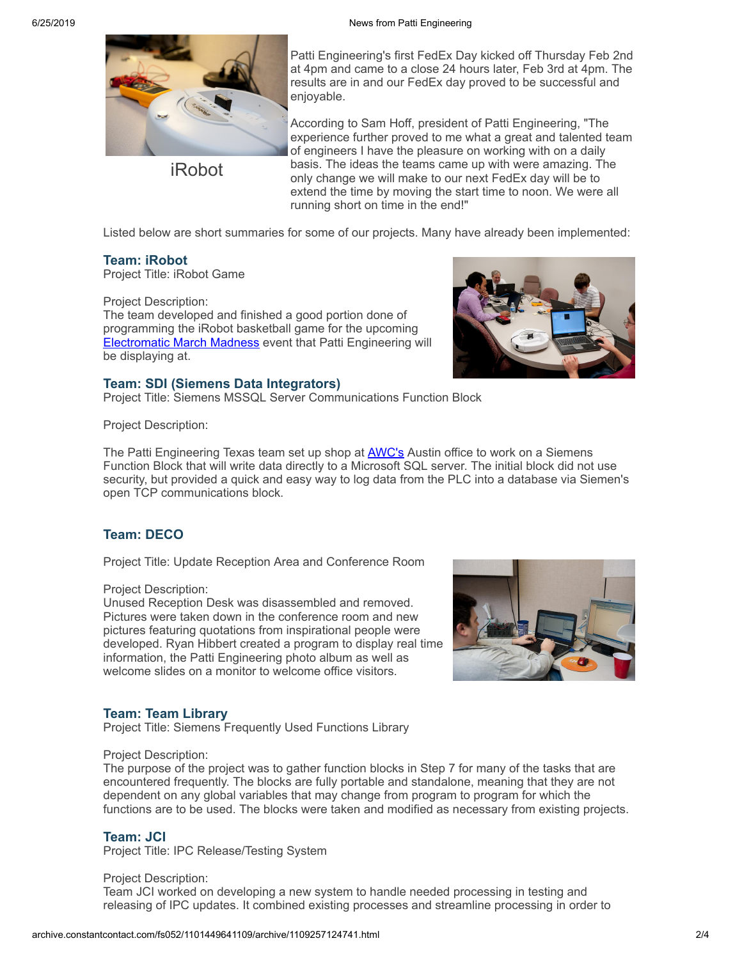

iRobot

Patti Engineering's first FedEx Day kicked off Thursday Feb 2nd at 4pm and came to a close 24 hours later, Feb 3rd at 4pm. The results are in and our FedEx day proved to be successful and enjoyable.

According to Sam Hoff, president of Patti Engineering, "The experience further proved to me what a great and talented team of engineers I have the pleasure on working with on a daily basis. The ideas the teams came up with were amazing. The only change we will make to our next FedEx day will be to extend the time by moving the start time to noon. We were all running short on time in the end!"

Listed below are short summaries for some of our projects. Many have already been implemented:

#### **Team: iRobot**

Project Title: iRobot Game

Project Description: The team developed and finished a good portion done of programming the iRobot basketball game for the upcoming [Electromatic](http://www.pattieng.com/blog-news/blog/march-madness-anyone-2/undefined?utm_source=Patti+Perspective+2_2012&utm_campaign=Patti+Perspective+Newsletter&utm_medium=archive) March Madness event that Patti Engineering will be displaying at.

#### **Team: SDI (Siemens Data Integrators)**

Project Title: Siemens MSSQL Server Communications Function Block

Project Description:

The Patti Engineering Texas team set up shop at **[AWC's](http://www.awc-inc.com/?utm_source=Patti+Perspective+2_2012&utm_campaign=Patti+Perspective+Newsletter&utm_medium=archive)** Austin office to work on a Siemens Function Block that will write data directly to a Microsoft SQL server. The initial block did not use security, but provided a quick and easy way to log data from the PLC into a database via Siemen's open TCP communications block.

#### **Team: DECO**

Project Title: Update Reception Area and Conference Room

Project Description:

Unused Reception Desk was disassembled and removed. Pictures were taken down in the conference room and new pictures featuring quotations from inspirational people were developed. Ryan Hibbert created a program to display real time information, the Patti Engineering photo album as well as welcome slides on a monitor to welcome office visitors.



#### **Team: Team Library**

Project Title: Siemens Frequently Used Functions Library

#### Project Description:

The purpose of the project was to gather function blocks in Step 7 for many of the tasks that are encountered frequently. The blocks are fully portable and standalone, meaning that they are not dependent on any global variables that may change from program to program for which the functions are to be used. The blocks were taken and modified as necessary from existing projects.

#### **Team: JCI**

Project Title: IPC Release/Testing System

Project Description: Team JCI worked on developing a new system to handle needed processing in testing and releasing of IPC updates. It combined existing processes and streamline processing in order to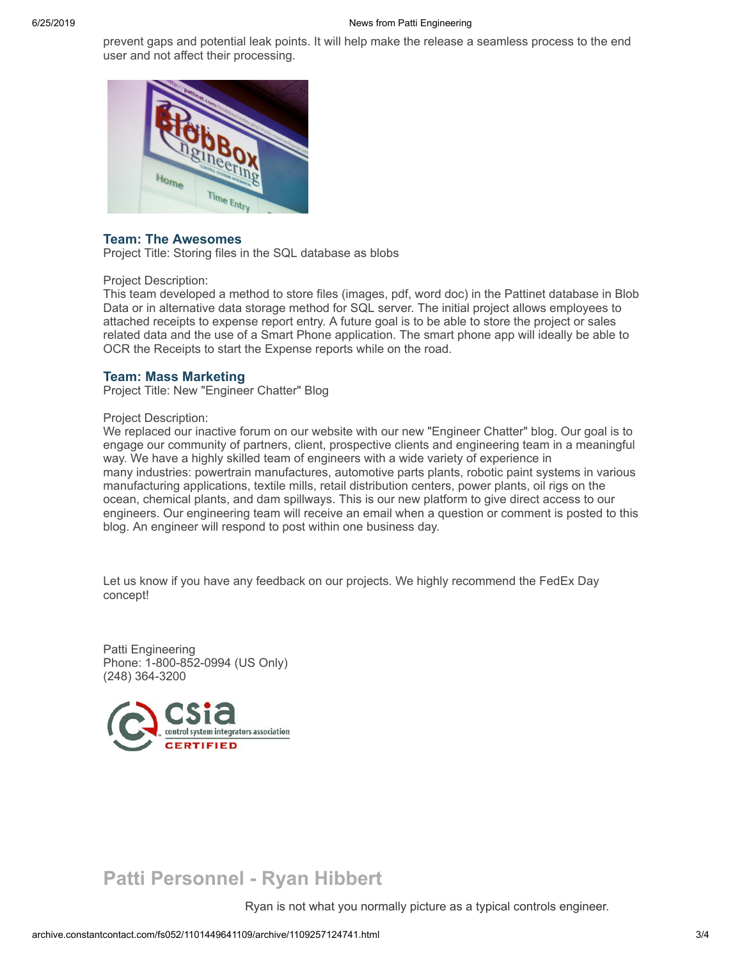prevent gaps and potential leak points. It will help make the release a seamless process to the end user and not affect their processing.



#### **Team: The Awesomes**

Project Title: Storing files in the SQL database as blobs

#### Project Description:

This team developed a method to store files (images, pdf, word doc) in the Pattinet database in Blob Data or in alternative data storage method for SQL server. The initial project allows employees to attached receipts to expense report entry. A future goal is to be able to store the project or sales related data and the use of a Smart Phone application. The smart phone app will ideally be able to OCR the Receipts to start the Expense reports while on the road.

#### **Team: Mass Marketing**

Project Title: New "Engineer Chatter" Blog

#### Project Description:

We replaced our inactive forum on our website with our new "Engineer Chatter" blog. Our goal is to engage our community of partners, client, prospective clients and engineering team in a meaningful way. We have a highly skilled team of engineers with a wide variety of experience in many industries: powertrain manufactures, automotive parts plants, robotic paint systems in various manufacturing applications, textile mills, retail distribution centers, power plants, oil rigs on the ocean, chemical plants, and dam spillways. This is our new platform to give direct access to our engineers. Our engineering team will receive an email when a question or comment is posted to this blog. An engineer will respond to post within one business day.

Let us know if you have any feedback on our projects. We highly recommend the FedEx Day concept!

Patti Engineering Phone: 1-800-852-0994 (US Only) (248) 364-3200



## **Patti Personnel - Ryan Hibbert**

Ryan is not what you normally picture as a typical controls engineer.